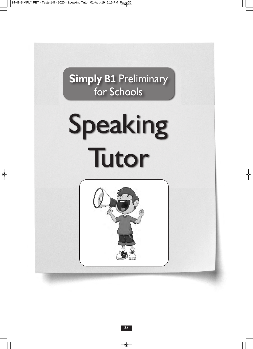**Simply B1** Preliminary for Schools

# Speaking Tutor

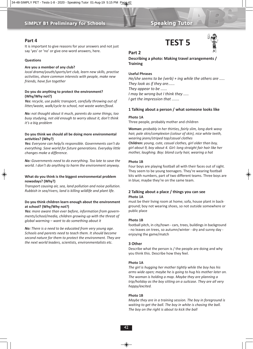#### **Part 4**

It is important to give reasons for your answers and not just say 'yes' or 'no' or give one-word answers, here.

#### **Questions**

#### **Are you a member of any club?**

*Iocal drama/youth/sports/art club, learn new skills, practise activities, share common interests with people, make new friends, have fun together* 

#### **Do you do anything to protect the environment? (Why/Why not?)**

*Yes: recycle, use public transport, carefully throwing out of litter/waste, walk/cycle to school, not waste water/food.* 

*No: not thought about it much, parents do some things, too busy studying, not old enough to worry about it, don't think it's a big problem* 

#### **Do you think we should all be doing more environmental activities? (Why?)**

*Yes: Everyone can help/is responsible. Governments can't do everything. Save world for future generations. Everyday little changes make a difference.* 

*No: Governments need to do everything. Too late to save the world. I don't do anything to harm the environment anyway.*

#### **What do you think is the biggest environmental problem nowadays? (Why?)**

*Transport causing air, sea, land pollution and noise pollution. Rubbish in sea/rivers, land is killing wildlife and plant life.* 

#### **Do you think children learn enough about the environment at school? (Why/Why not?)**

*Yes: more aware than ever before, information from governments/school/media, children growing up with the threat of global warming – want to do something about it*

*No: There is a need to be educated from very young age. Schools and parents need to teach them. It should become second nature for them to protect the environment. They are the next world leaders, scientists, environmentalists etc.*





#### **Part 2**

**Describing a photo: Making travel arrangements / Training**

#### **Useful Phrases**

*He/she seems to be (verb) + ing while the others are ..... They look as if they are...... They appear to be ...... I may be wrong but I think they ..... I get the impression that .......*

#### **1 Talking about a person / what someone looks like**

#### **Photo 1A**

Three people, probably mother and children

**Woman:** *probably in her thirties, fairly slim, long dark wavy hair, pale skin/complexion (colour of skin), nice white teeth, wearing jeans/striped top/casual clothes*  **Children:** *young, cute, casual clothes, girl older than boy, girl about 9, boy about 4. Girl: long straight fair hair like her mother, laughing. Βoy: blond curly hair, wearing a hat*

#### **Photo 1B**

Four boys are playing football all with their faces out of sight. They seem to be young teenagers. They're wearing football kits with numbers, part of two different teams. Three boys are in blue; maybe they're on the same team.

#### **2 Talking about a place / things you can see Photo 1A**

must be their living room at home; sofa, house plant in background; boy not wearing shoes, so not outside somewhere or public place

#### **Photo 1B**

football pitch, in city/town - cars, trees, buildings in background - no leaves on trees, so autumn/winter - dry and sunny day enjoying the game/match

#### **3 Other**

Describe what the person is / the people are doing and why you think this. Describe how they feel.

#### **Photo 1A**

*The girl is hugging her mother tightly while the boy has his arms wide open; maybe he is going to hug his mother later on. The woman is holding a map. Maybe they are planning a trip/holiday as the boy sitting on a suitcase. They are all very happy/excited.*

#### **Photo 1B**

*Maybe they are in a training session. The boy in foreground is waiting to get the ball. The boy in white is chasing the ball. The boy on the right is about to kick the ball*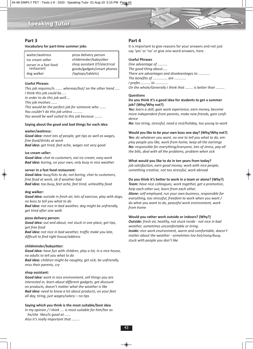

#### **Part 3**

#### **Vocabulary for part-time summer jobs**

waiter/waitress ice cream seller server in a fast food restaurant dog walker pizza delivery person childminder/babysitter shop assistant (IT/electrical goods/gadgets/smart phones /laptops/tablets)

#### **Useful Phrases**

*This job requires/is ....... whereas/but/ on the other hand ..... I think this job could be..... In order to do this job well.... This job involves ...... This would be the perfect job for someone who ....... You couldn't do this job unless .......... You would be well suited to this job because ........* 

#### **Saying about the good and bad things for each idea**

#### **waiter/waitress:**

*Good idea: meet lots of people, get tips as well as wages, free food/drinks at work* 

*Bad idea: get tired, feet ache, wages not very good*

#### **ice cream seller:**

*Good idea: chat to customers, eat ice cream, easy work Bad idea: boring, on your own, only busy in nice weather* 

#### **server in a fast food restaurant:**

*Good idea: busy/lots to do, not boring, chat to customers, free food at work, ok if weather bad Bad idea: too busy, feet ache, feel tired, unhealthy food* 

#### **dog walker:**

*Good idea: outside in fresh air, lots of exercise, play with dogs, no boss to tell you what to do*

*Bad idea: not nice in bad weather, dog might be unfriendly, get tired after one walk*

#### **pizza delivery person:**

*Good idea: out and about, not stuck in one place, get tips, get free food*

*Bad idea: not nice in bad weather, traffic make you late, difficult to find right house/address*

#### **childminder/babysitter:**

*Good idea: have fun with children, play a lot, in a nice house, no adults to tell you what to do Bad idea: children might be naughty, get sick, be unfriendly, miss their parents, cry*

#### **shop assistant:**

*Good idea: work in nice environment, sell things you are interested in, learn about different gadgets, get discount on products, doesn't matter what the weather is like Bad idea: need to know a lot about products, on your feet all day, tiring, just wages/salary – no tips*

#### **Saying which you think is the most suitable/best idea**

*In my opinion / I think .... is most suitable for him/her as he/she likes/is good at ...... Also it's really important that ........*

#### **Part 4**

It is important to give reasons for your answers and not just say 'yes' or 'no' or give one-word answers, here.

#### **Useful Phrases**

*One advantage of .......... The good thing about..... There are advantages and disadvantages to ............ The benefits of ............... are ............ I prefer........... to ............. On the whole/Generally I think that ........ is better than .........*

#### **Questions**

#### **Do you think it's a good idea for students to get a summer job? (Why/Why not?)**

*Yes: learn a skill, gain work experience, earn money, become more independent from parents, make new friends, gain confidence*

*No: too tiring, stressful, need a rest/holiday, too young to work*

**Would you like to be your own boss one day? (Why/Why not?)** 

*Yes: do whatever you want, no one to tell you what to do, employ people you like, work from home, keep all the earnings No: responsible for everything/everyone, lots of stress, pay all the bills, deal with all the problems, problem when sick*

#### **What would you like to do in ten years from today?**

*job satisfaction, earn good money, work with nice people, something creative, not too stressful, work abroad*

#### **Do you think it's better to work in a team or alone? (Why?)**

*Team: have nice colleagues, work together, get a promotion, help each other out, learn from each other. Alone: self-employed, run your own business, responsible for everything, too stressful, freedom to work when you want / do what you want to do, peaceful work environment, work from home*

#### **Would you rather work outside or indoors? (Why?)**

*Outside: fresh air, healthy, not stuck inside - not nice in bad weather, sometimes uncomfortable or tiring. Inside: nice work environment, warm and comfortable, doesn't matter about the weather - sometimes too hot/noisy/busy, stuck with people you don't like*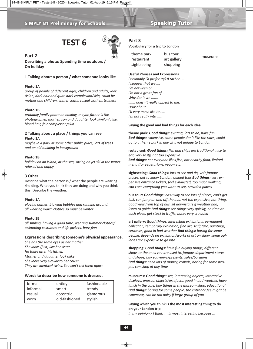## **TEST 6**



#### **Part 2**

**Describing a photo: Spending time outdoors / On holiday**

#### **1 Talking about a person / what someone looks like**

#### **Photo 1A**

*group of people of different ages, children and adults, look Asian, dark hair and quite dark complexion/skin, could be mother and children, winter coats, casual clothes, trainers*

#### **Photo 1B**

*probably family photo on holiday, maybe father is the photographer, mother, son and daughter look similar/alike, blond hair, fair complexion/skin*

#### **2 Talking about a place / things you can see Photo 1A**

*maybe in a park or some other public place, lots of trees and an old building in background* 

#### **Photo 1B**

*holiday on an island, at the sea, sitting on jet ski in the water, relaxed and happy*

#### **3 Other**

Describe what the person is / what the people are wearing /holding. What you think they are doing and why you think this. Describe the weather.

#### **Photo 1A**

*playing games, blowing bubbles and running around, all wearing warm clothes so must be winter*

#### **Photo 1B**

*all smiling, having a good time, wearing summer clothes/ swimming costumes and life jackets, bare feet*

#### **Expressions describing someone's physical appearance.**

*She has the same eyes as her mother. She looks (just) like her sister. He takes after his father. Mother and daughter look alike. She looks very similar to her cousin. They are identical twins. You can't tell them apart.*

#### **Words to describe how someone is dressed.**

| formal   | untidy        | fashionable |
|----------|---------------|-------------|
| informal | smart         | trendy      |
| casual   | eccentric     | glamorous   |
| worn     | old-fashioned | stylish     |

#### **Part 3**

#### **Vocabulary for a trip to London**

| theme park<br>bus tour<br>art gallery<br>restaurant<br>sightseeing<br>shopping | museums |
|--------------------------------------------------------------------------------|---------|
|--------------------------------------------------------------------------------|---------|

#### **Useful Phrases and Expressions**

*Personally I'd prefer to/I'd rather .... I suggest that we .... I'm not keen on ... I'm not a great fan of ..... Why don't we ....... ....... doesn't really appeal to me. How about .... I'd very much like to ..... I'm not really into .....*

#### **Saying the good and bad things for each idea**

**theme park:** *Good things: exciting, lots to do, have fun Bad things: expensive, some people don't like the rides, could go to a theme park in any city, not unique to London*

**restaurant:** *Good things: fish and chips are traditional, nice to eat, very tasty, not too expensive Bad things: not everyone likes fish, not healthy food, limited menu (for vegetarians, vegan etc)* 

**sightseeing:** *Good things: lots to see and do, visit famous places, get to know London, guided tour Bad things: very expensive entrance tickets, feel exhausted, too much walking, can't see everything you want to see, crowded places*

**bus tour:** *Good things: easy way to see lots of places, can't get lost, can jump on and off the bus, not too expensive, not tiring, good view from top of bus, sit downstairs if weather bad, listen to guide Bad things: see things very quickly, no time at each place, get stuck in traffic, buses very crowded* 

**art gallery:** *Good things: interesting exhibitions, permanent collection, temporary exhibition, fine art, sculpture, paintings, ceramics, good in bad weather Bad things: boring for some people, depends on exhibition/works of art on show, some galleries are expensive to go into*

**shopping:** *Good things: have fun buying things, different shops to the ones you are used to, famous department stores and shops, buy souvenirs/presents, sales/bargains Bad things: need lots of money, crowds, boring for some people, can shop at any time*

**museums:** *Good things: see, interesting objects, interactive displays, unusual objects/artefacts, good in bad weather, have lunch in the cafe, buy things in the museum shop, educational Bad things: boring for some people, the entrance fee might be expensive, can be too noisy if large group of you*

#### **Saying which you think is the most interesting thing to do on your London trip**

*In my opinion / I think .... is most interesting because ...*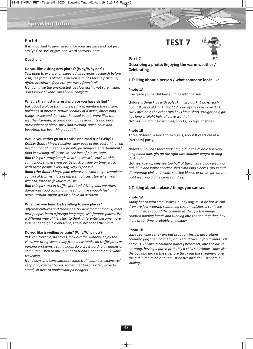### Speaking Tutor

#### **Part 4**

It is important to give reasons for your answers and not just say 'yes' or 'no' or give one-word answers, here.

#### **Questions**

#### **Do you like visiting new places? (Why/Why not?)**

*Yes: good to explore, unexpected discoveries, research before visit, see famous places, experience things for the first time, different culture, food etc. get away from it all No: don't like the unexpected, get lost easily, not sure if safe, don't know anyone, miss home comforts*

#### **What is the most interesting place you have visited?**

*talk about a place that impressed you, mention the culture, buildings of interest, natural beauty of a place, interesting things to see and do, what the local people were like, the weather/climate, accommodation, restaurants and bars, atmosphere of place, busy and exciting, quiet, calm and beautiful, the best thing about it*

#### **Would you rather go on a cruise or a road trip? (Why?)**

*Cruise: Good things: relaxing, slow pace of life, everything you need on board, meet new people/passengers, entertainment/ food in evening, all inclusive, see lots of places, safe Bad things: stormy/rough weather, seasick, stuck on ship, can't choose where you go, be back on ship on time, stuck with same people every day, very expensive*

*Road trip: Good things: plan where you want to go, complete control of trip, visit lots of different places, stop when you want to, listen to favourite music* 

*Bad things: stuck in traffic, get tired driving, bad weather, dangerous road conditions, need to have enough fuel, find a petrol station, might get lost, have an accident*

#### **What can you learn by travelling to new places?**

*different cultures and traditions, try new food and drink, meet new people, learn a foreign language, visit famous places, live a different way of life, start to think differently, become more independent, gain confidence, travel broadens the mind*

#### **Do you like travelling by train? (Why/Why not?)**

*Yes: comfortable, no stress, look out the window, enjoy the view, not tiring, keep away from busy roads, no traffic jams or parking problems, read a book, do a crossword, play games on computer, listen to music, chat to friends, eat and drink while travelling*

*No: delays and cancellations, some train journeys expensive/ very long, can get bored, sometimes too crowded, have to stand, sit next to unpleasant passengers*

## **TEST 7**



#### **Part 2**

**Describing a photo: Enjoying the warm weather / Celebrating** 

#### **1 Talking about a person / what someone looks like**

#### **Photo 1A**

Five quite young children running into the sea

**children:** *three kids with pale skin, two dark. 4 boys, each about 9 years old, girl about 12. Two of the boys have dark curly afro hair, the other two boys have short straight hair, girl has long straight hair, all have wet hair* **clothes:** swimming costumes, shorts, no tops or shoes

#### **Photo 1B**

Three children, a boy and two girls, about 8 years old at a (birthday) party.

**children:** *boy has short dark hair, girl in the middle has very long blond hair, girl on the right has shoulder length or long dark hair*

**clothes:** *casual, only see top half of the children, boy wearing red, blue and white checked shirt with long sleeves, girl in middle wearing pink and white spotted blouse or dress, girl on the right wearing a blue blouse or dress*

#### **2 Talking about a place / things you can see**

#### **Photo 1A**

*sandy beach with small waves, sunny day, must be hot as children are just wearing swimming costumes/shorts, can't see anything else around the children as they fill the image, children holding hands and running into the sea together, having a great time, probably on holiday*

#### **Photo 1B**

*can't see where they are but probably inside, decorations, coloured flags behind them, drinks and cake in foreground, out of focus. Throwing coloured paper (streamers) into the air, celebrating, having a party, probably a child's birthday. Looks like the boy and girl on the sides are throwing the streamers over the girl in the middle so it must be her birthday. They are all smiling.*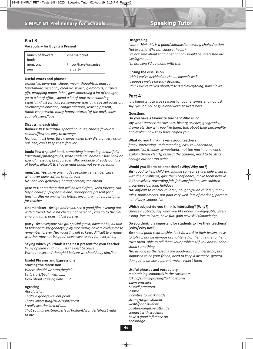#### **Part 3**

#### **Vocabulary for Buying a Present**

| bunch of flowers<br>book | cinema ticket       |
|--------------------------|---------------------|
| mug/cup                  | throw/have/organise |
| pen                      | a party             |

#### **Useful words and phrases**

*expensive, generous, cheap, mean, thoughtful, unusual, hand-made, personal, creative, stylish, glamorous, surprise gift, wrapping paper, label, give something a lot of thought, go to a lot of effort, spend a lot of time over choosing, especially/just for you, for someone special, a special occasion, celebrate/celebration, congratulations, leaving present, thank-you present, many happy returns (of the day), show your pleasure/love*

#### **Discussing each idea**

**flowers:** *Yes: beautiful, special bouquet, choose favourite colours/flowers, easy to arrange* 

*No: don't last long, throw away when they die, not very original idea, can't keep them forever*

**book:** *Yes: a special book, something interesting, beautiful illustrations/photographs, write students' names inside book or special message, keep forever No: probably already got lots of books, difficult to choose right book, not very personal* 

**mug/cap:** *Yes: have one made specially, remember class whenever have coffee, keep forever No: not very generous, boring present, too cheap* 

**pen:** *Yes: something that will be used often, keep forever, can buy a beautiful/expensive one, appropriate present for a teacher. No: no one writes letters any more, not very original for teacher*

**cinema ticket:** *Yes: go and relax, see a good film, evening out with a friend. No: a bit cheap, not personal, can go to the cinema any time, doesn't last forever* 

**party:** *Yes: everyone can go, special guest, have a bbq, all talk to teacher to say goodbye, play nice music, have a lovely time to remember forever. No: no lasting gift to keep, difficult to arrange, weather may not be good, expensive to pay for everything*

#### **Saying which you think is the best present for your teacher** *In my opinion / I think .... is the best because ...*

*Without a second thought I believe we should buy him/her ...*

#### **Useful Phrases and Expressions**

**Starting the discussion** *Where should we start/begin? Let's start/begin with ...... How about starting with .....?*

#### **Agreeing**

*Absolutely, ... That's a good/excellent point That's interesting/true/right/great I really like the idea of ...... That sounds exciting/perfect/brilliant/wonderful/just right to me.*

#### **Disagreeing**

*I don't think this is a good/suitable/interesting choice/option. Not exactly! Why not choose the ....? I'm not sure about that. I bet nobody would be interested in/*

*like/agree ......*

*I'm not sure I'd go along with this.........*

#### **Closing the discussion**

*I think we've decided on the ..., haven't we?*

- *I suppose we've already decided.*
- *I think we've talked about/discussed everything, haven't we?*

#### **Part 4**

It is important to give reasons for your answers and not just say 'yes' or 'no' or give one-word answers here.

#### **Questions**

#### **Do you have a favourite teacher? Who is it?**

*say what teacher teaches: art, history, science, geography, drama etc. Say why you like them, talk about their personality and explain how they have helped you.* 

#### **What do you think makes a good teacher?**

*funny, interesting, understanding, easy to understand, supportive, friendly, sympathetic, not too much homework, explain things clearly, respect the children, need to be strict enough but not too strict*

#### **Would you like to be a teacher? (Why/Why not?)**

*Yes: good to help children, change someone's life, help children with their problems, give them confidence, make them believe in themselves, rewarding job, job satisfaction, see children grow/develop, long holidays*

*No: difficult to control children, naughty/rude children, many rules, punishments, not paid very well, lots of marking, parents not always supportive* 

#### **Which subject do you think is interesting? (Why?)**

*choose a subject, say what you like about it – enjoyable, interesting, lots to learn, have fun, gain new skills/knowledge*

#### **Do you think it is important for students to like their teachers? (Why/Why not?)**

*Yes: need good relationship, look forward to their lesson, easy to talk to, not be nervous or frightened of them, relate to them, trust them, able to tell them your problems/if you don't understand something*

*No: as long as the lessons are good/easy to understand, not supposed to be your friend, need to keep a distance, generation gap, a bit like a parent, must respect them*

#### **Useful phrases and vocabulary**

*maintaining standards in the classroom taking/sitting/passing/failing exams exam pressure be well prepared inspire incentive to work harder strong/bright student weak/poor student positive/negative attitude connect with students have a good influence on encourage*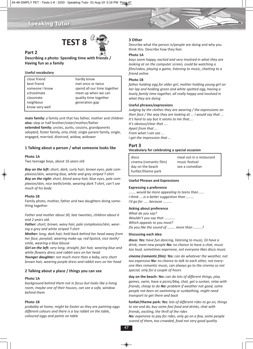### Speaking Tutor





#### **Part 2**

**Describing a photo: Spending time with friends / Having fun as a family**

#### **Useful vocabulary**

close friend best friend someone I know schoolmate classmate neighbour know very well

hardly know met once or twice spend all our time together meet up when we can quality time together generation gap

**main family:** a family unit that has father, mother and children **also:** step or half brother/sister/mother/father **extended family:** uncles, aunts, cousins, grandparents adopted, foster family, only child, single parent family, single, engaged, married, divorced, widow, widower

#### **1 Talking about a person / what someone looks like**

#### **Photo 1A**

Two teenage boys, about 16 years old

*Boy on the left: short, dark, curly hair; brown eyes, pale complexion/skin, wearing blue, white and grey striped T-shirt Boy on the right: short, blond wavy hair, blue eyes, pale complexion/skin, nice teeth/smile, wearing dark T-shirt, can't see much of his body* 

#### **Photo 1B**

Family photo, mother, father and two daughters doing something together

*Father and mother about 30, late twenties, children about 6 and 2 years old.* 

*Father: short, brown, wavy hair, pale complexion/skin, wearing a grey and white striped T-shirt*

*Mother: long, dark hair, held back behind her head away from her face, ponytail, wearing make-up, red lipstick, nice teeth/ smile, wearing a blue blouse* 

*Girl on the left: very long, straight, fair hair, wearing blue and white flowery dress and rabbit ears on her head Younger daughter: not much more than a baby, very short*

*brown hair, wearing purple dress and rabbit ears on her head*

#### **2 Talking about a place / things you can see**

#### **Photo 1A**

*background behind them not in focus but looks like a living room, maybe one of their houses, can see a sofa, window behind them*

#### **Photo 1B**

*probably at home, might be Easter as they are painting eggs different colours and there is a toy rabbit on the table, coloured eggs and paints on table*

#### **3 Other**

Describe what the person is/people are doing and why you think this. Describe how they feel.

#### **Photo 1A**

*boys seem happy, excited and very involved in what they are looking at on the computer screen, could be watching a film/video, playing a game, listening to music, chatting to a friend online*

#### **Photo 1B**

*father holding egg for older girl, mother holding young girl on her lap and holding green and white spotted egg, having a lovely family time together, all really happy and involved in what they are doing*

#### **Useful phrases/expressions**

*Judging by the clothes they are wearing / the expressions on their face / the way they are looking at ... I would say that ... It's hard to say but it seems to me that.... It's obvious/clear that .... Apart from that ... From what I can see ... I get the impression that ...*

#### **Part 3**

#### **Vocabulary for celebrating a special occasion**

| disco                  | meal out in a restaurant |
|------------------------|--------------------------|
| cinema (romantic film) | music festival           |
| day on the beach       | see a comedian           |
| funfair/theme park     |                          |

#### **Useful Phrases and Expressions**

#### **Expressing a preference**

*....... would be more appealing to teens than ..... I think ....is a better suggestion than ........ I'd go for ..... because .........*

#### **Asking about preference**

*What do you say? Wouldn't you say that ........... Which appeals to you most? Do you like the sound of ........ more than .........?*

#### **Discussing each idea**

**disco:** *Yes: have fun dancing, listening to music, DJ have a drink, meet new people No: no chance to have a chat, music too loud, sometimes expensive, not everyone likes disco music*

*cinema (romantic film): Yes: can do whatever the weather, not too expensive No: no chance to talk to each other, not everyone likes romantic music, can always go to the cinema so not special, only for a couple of hours*

**day on the beach:** *Yes: can do lots of different things, play games, swim, have a picnic/bbq, chat, get a suntan, relax with friends, cheap to do No: problem if weather not good, some people not keen on swimming or sunbathing, might need transport to get there and back*

**funfair/theme park:** *Yes: lots of different rides to go on, things to see and do, buy some fast food and drinks, chat with friends, exciting, the thrill of the rides No: expensive to pay for rides, only go on a few, some people scared of them, too crowded, food not very good quality*